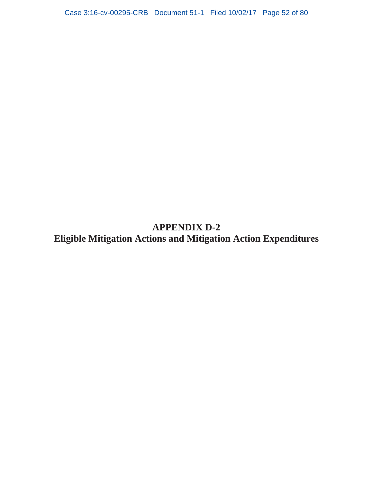# **APPENDIX D-2 Eligible Mitigation Actions and Mitigation Action Expenditures**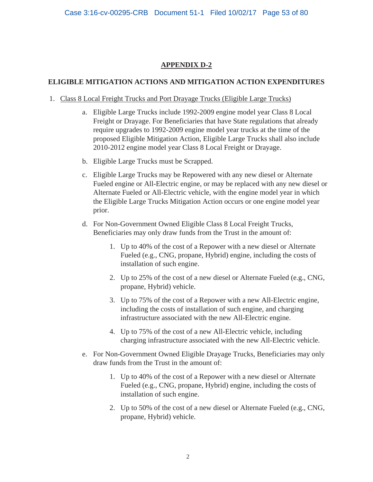## **APPENDIX D-2**

### **ELIGIBLE MITIGATION ACTIONS AND MITIGATION ACTION EXPENDITURES**

- 1. Class 8 Local Freight Trucks and Port Drayage Trucks (Eligible Large Trucks)
	- a. Eligible Large Trucks include 1992-2009 engine model year Class 8 Local Freight or Drayage. For Beneficiaries that have State regulations that already require upgrades to 1992-2009 engine model year trucks at the time of the proposed Eligible Mitigation Action, Eligible Large Trucks shall also include 2010-2012 engine model year Class 8 Local Freight or Drayage.
	- b. Eligible Large Trucks must be Scrapped.
	- c. Eligible Large Trucks may be Repowered with any new diesel or Alternate Fueled engine or All-Electric engine, or may be replaced with any new diesel or Alternate Fueled or All-Electric vehicle, with the engine model year in which the Eligible Large Trucks Mitigation Action occurs or one engine model year prior.
	- d. For Non-Government Owned Eligible Class 8 Local Freight Trucks, Beneficiaries may only draw funds from the Trust in the amount of:
		- 1. Up to 40% of the cost of a Repower with a new diesel or Alternate Fueled (e.g., CNG, propane, Hybrid) engine, including the costs of installation of such engine.
		- 2. Up to 25% of the cost of a new diesel or Alternate Fueled (e.g., CNG, propane, Hybrid) vehicle.
		- 3. Up to 75% of the cost of a Repower with a new All-Electric engine, including the costs of installation of such engine, and charging infrastructure associated with the new All-Electric engine.
		- 4. Up to 75% of the cost of a new All-Electric vehicle, including charging infrastructure associated with the new All-Electric vehicle.
	- e. For Non-Government Owned Eligible Drayage Trucks, Beneficiaries may only draw funds from the Trust in the amount of:
		- 1. Up to 40% of the cost of a Repower with a new diesel or Alternate Fueled (e.g., CNG, propane, Hybrid) engine, including the costs of installation of such engine.
		- 2. Up to 50% of the cost of a new diesel or Alternate Fueled (e.g., CNG, propane, Hybrid) vehicle.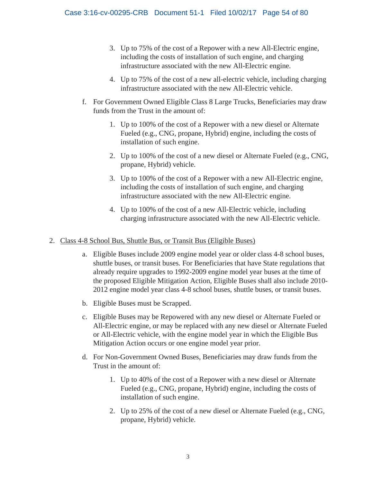- 3. Up to 75% of the cost of a Repower with a new All-Electric engine, including the costs of installation of such engine, and charging infrastructure associated with the new All-Electric engine.
- 4. Up to 75% of the cost of a new all-electric vehicle, including charging infrastructure associated with the new All-Electric vehicle.
- f. For Government Owned Eligible Class 8 Large Trucks, Beneficiaries may draw funds from the Trust in the amount of:
	- 1. Up to 100% of the cost of a Repower with a new diesel or Alternate Fueled (e.g., CNG, propane, Hybrid) engine, including the costs of installation of such engine.
	- 2. Up to 100% of the cost of a new diesel or Alternate Fueled (e.g., CNG, propane, Hybrid) vehicle.
	- 3. Up to 100% of the cost of a Repower with a new All-Electric engine, including the costs of installation of such engine, and charging infrastructure associated with the new All-Electric engine.
	- 4. Up to 100% of the cost of a new All-Electric vehicle, including charging infrastructure associated with the new All-Electric vehicle.

## 2. Class 4-8 School Bus, Shuttle Bus, or Transit Bus (Eligible Buses)

- a. Eligible Buses include 2009 engine model year or older class 4-8 school buses, shuttle buses, or transit buses. For Beneficiaries that have State regulations that already require upgrades to 1992-2009 engine model year buses at the time of the proposed Eligible Mitigation Action, Eligible Buses shall also include 2010- 2012 engine model year class 4-8 school buses, shuttle buses, or transit buses.
- b. Eligible Buses must be Scrapped.
- c. Eligible Buses may be Repowered with any new diesel or Alternate Fueled or All-Electric engine, or may be replaced with any new diesel or Alternate Fueled or All-Electric vehicle, with the engine model year in which the Eligible Bus Mitigation Action occurs or one engine model year prior.
- d. For Non-Government Owned Buses, Beneficiaries may draw funds from the Trust in the amount of:
	- 1. Up to 40% of the cost of a Repower with a new diesel or Alternate Fueled (e.g., CNG, propane, Hybrid) engine, including the costs of installation of such engine.
	- 2. Up to 25% of the cost of a new diesel or Alternate Fueled (e.g., CNG, propane, Hybrid) vehicle.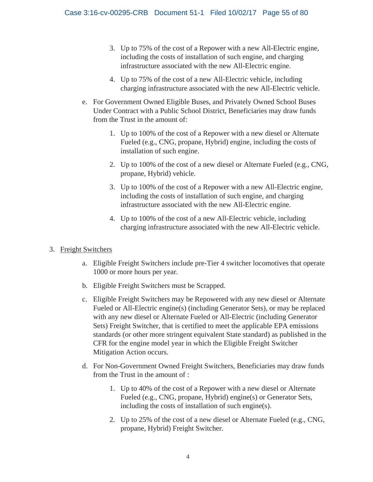- 3. Up to 75% of the cost of a Repower with a new All-Electric engine, including the costs of installation of such engine, and charging infrastructure associated with the new All-Electric engine.
- 4. Up to 75% of the cost of a new All-Electric vehicle, including charging infrastructure associated with the new All-Electric vehicle.
- e. For Government Owned Eligible Buses, and Privately Owned School Buses Under Contract with a Public School District, Beneficiaries may draw funds from the Trust in the amount of:
	- 1. Up to 100% of the cost of a Repower with a new diesel or Alternate Fueled (e.g., CNG, propane, Hybrid) engine, including the costs of installation of such engine.
	- 2. Up to 100% of the cost of a new diesel or Alternate Fueled (e.g., CNG, propane, Hybrid) vehicle.
	- 3. Up to 100% of the cost of a Repower with a new All-Electric engine, including the costs of installation of such engine, and charging infrastructure associated with the new All-Electric engine.
	- 4. Up to 100% of the cost of a new All-Electric vehicle, including charging infrastructure associated with the new All-Electric vehicle.

## 3. Freight Switchers

- a. Eligible Freight Switchers include pre-Tier 4 switcher locomotives that operate 1000 or more hours per year.
- b. Eligible Freight Switchers must be Scrapped.
- c. Eligible Freight Switchers may be Repowered with any new diesel or Alternate Fueled or All-Electric engine(s) (including Generator Sets), or may be replaced with any new diesel or Alternate Fueled or All-Electric (including Generator Sets) Freight Switcher, that is certified to meet the applicable EPA emissions standards (or other more stringent equivalent State standard) as published in the CFR for the engine model year in which the Eligible Freight Switcher Mitigation Action occurs.
- d. For Non-Government Owned Freight Switchers, Beneficiaries may draw funds from the Trust in the amount of :
	- 1. Up to 40% of the cost of a Repower with a new diesel or Alternate Fueled (e.g., CNG, propane, Hybrid) engine(s) or Generator Sets, including the costs of installation of such engine(s).
	- 2. Up to 25% of the cost of a new diesel or Alternate Fueled (e.g., CNG, propane, Hybrid) Freight Switcher.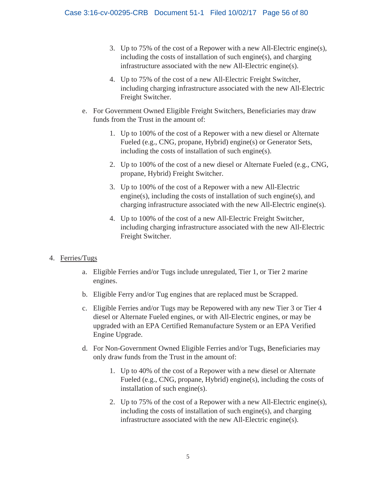- 3. Up to 75% of the cost of a Repower with a new All-Electric engine(s), including the costs of installation of such engine(s), and charging infrastructure associated with the new All-Electric engine(s).
- 4. Up to 75% of the cost of a new All-Electric Freight Switcher, including charging infrastructure associated with the new All-Electric Freight Switcher.
- e. For Government Owned Eligible Freight Switchers, Beneficiaries may draw funds from the Trust in the amount of:
	- 1. Up to 100% of the cost of a Repower with a new diesel or Alternate Fueled (e.g., CNG, propane, Hybrid) engine(s) or Generator Sets, including the costs of installation of such engine(s).
	- 2. Up to 100% of the cost of a new diesel or Alternate Fueled (e.g., CNG, propane, Hybrid) Freight Switcher.
	- 3. Up to 100% of the cost of a Repower with a new All-Electric engine(s), including the costs of installation of such engine(s), and charging infrastructure associated with the new All-Electric engine(s).
	- 4. Up to 100% of the cost of a new All-Electric Freight Switcher, including charging infrastructure associated with the new All-Electric Freight Switcher.

## 4. Ferries/Tugs

- a. Eligible Ferries and/or Tugs include unregulated, Tier 1, or Tier 2 marine engines.
- b. Eligible Ferry and/or Tug engines that are replaced must be Scrapped.
- c. Eligible Ferries and/or Tugs may be Repowered with any new Tier 3 or Tier 4 diesel or Alternate Fueled engines, or with All-Electric engines, or may be upgraded with an EPA Certified Remanufacture System or an EPA Verified Engine Upgrade.
- d. For Non-Government Owned Eligible Ferries and/or Tugs, Beneficiaries may only draw funds from the Trust in the amount of:
	- 1. Up to 40% of the cost of a Repower with a new diesel or Alternate Fueled (e.g., CNG, propane, Hybrid) engine(s), including the costs of installation of such engine(s).
	- infrastructure associated with the new All-Electric engine(s).<br>
	5 2. Up to 75% of the cost of a Repower with a new All-Electric engine(s), including the costs of installation of such engine(s), and charging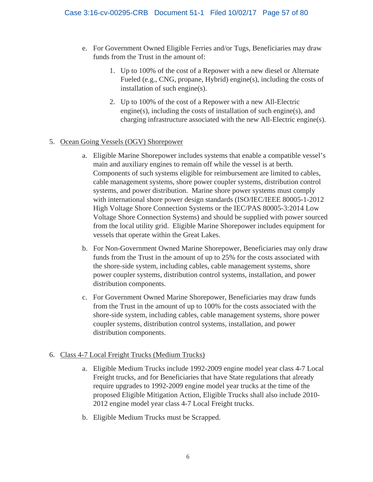- e. For Government Owned Eligible Ferries and/or Tugs, Beneficiaries may draw funds from the Trust in the amount of:
	- 1. Up to 100% of the cost of a Repower with a new diesel or Alternate Fueled (e.g., CNG, propane, Hybrid) engine(s), including the costs of installation of such engine(s).
	- 2. Up to 100% of the cost of a Repower with a new All-Electric engine(s), including the costs of installation of such engine(s), and charging infrastructure associated with the new All-Electric engine(s).

#### 5. Ocean Going Vessels (OGV) Shorepower

- a. Eligible Marine Shorepower includes systems that enable a compatible vessel's main and auxiliary engines to remain off while the vessel is at berth. Components of such systems eligible for reimbursement are limited to cables, cable management systems, shore power coupler systems, distribution control systems, and power distribution. Marine shore power systems must comply with international shore power design standards (ISO/IEC/IEEE 80005-1-2012 High Voltage Shore Connection Systems or the IEC/PAS 80005-3:2014 Low Voltage Shore Connection Systems) and should be supplied with power sourced from the local utility grid. Eligible Marine Shorepower includes equipment for vessels that operate within the Great Lakes.
- b. For Non-Government Owned Marine Shorepower, Beneficiaries may only draw funds from the Trust in the amount of up to 25% for the costs associated with the shore-side system, including cables, cable management systems, shore power coupler systems, distribution control systems, installation, and power distribution components.
- c. For Government Owned Marine Shorepower, Beneficiaries may draw funds from the Trust in the amount of up to 100% for the costs associated with the shore-side system, including cables, cable management systems, shore power coupler systems, distribution control systems, installation, and power distribution components.

## 6. Class 4-7 Local Freight Trucks (Medium Trucks)

- a. Eligible Medium Trucks include 1992-2009 engine model year class 4-7 Local Freight trucks, and for Beneficiaries that have State regulations that already require upgrades to 1992-2009 engine model year trucks at the time of the proposed Eligible Mitigation Action, Eligible Trucks shall also include 2010- 2012 engine model year class 4-7 Local Freight trucks.
- b. Eligible Medium Trucks must be Scrapped.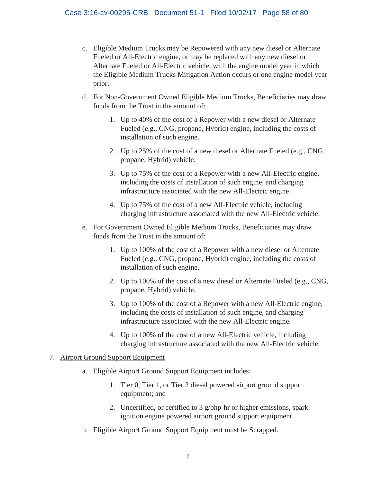- c. Eligible Medium Trucks may be Repowered with any new diesel or Alternate Fueled or All-Electric engine, or may be replaced with any new diesel or Alternate Fueled or All-Electric vehicle, with the engine model year in which the Eligible Medium Trucks Mitigation Action occurs or one engine model year prior.
- d. For Non-Government Owned Eligible Medium Trucks, Beneficiaries may draw funds from the Trust in the amount of:
	- 1. Up to 40% of the cost of a Repower with a new diesel or Alternate Fueled (e.g., CNG, propane, Hybrid) engine, including the costs of installation of such engine.
	- 2. Up to 25% of the cost of a new diesel or Alternate Fueled (e.g., CNG, propane, Hybrid) vehicle.
	- 3. Up to 75% of the cost of a Repower with a new All-Electric engine, including the costs of installation of such engine, and charging infrastructure associated with the new All-Electric engine.
	- 4. Up to 75% of the cost of a new All-Electric vehicle, including charging infrastructure associated with the new All-Electric vehicle.
- e. For Government Owned Eligible Medium Trucks, Beneficiaries may draw funds from the Trust in the amount of:
	- 1. Up to 100% of the cost of a Repower with a new diesel or Alternate Fueled (e.g., CNG, propane, Hybrid) engine, including the costs of installation of such engine.
	- 2. Up to 100% of the cost of a new diesel or Alternate Fueled (e.g., CNG, propane, Hybrid) vehicle.
	- 3. Up to 100% of the cost of a Repower with a new All-Electric engine, including the costs of installation of such engine, and charging infrastructure associated with the new All-Electric engine.
	- 4. Up to 100% of the cost of a new All-Electric vehicle, including charging infrastructure associated with the new All-Electric vehicle.

#### 7. Airport Ground Support Equipment

- a. Eligible Airport Ground Support Equipment includes:
	- 1. Tier 0, Tier 1, or Tier 2 diesel powered airport ground support equipment; and
	- 2. Uncertified, or certified to 3 g/bhp-hr or higher emissions, spark ignition engine powered airport ground support equipment.
- b. Eligible Airport Ground Support Equipment must be Scrapped.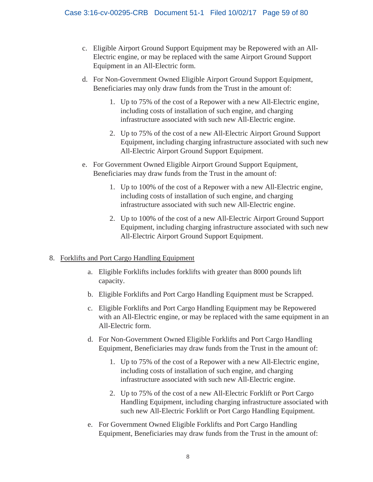- c. Eligible Airport Ground Support Equipment may be Repowered with an All-Electric engine, or may be replaced with the same Airport Ground Support Equipment in an All-Electric form.
- d. For Non-Government Owned Eligible Airport Ground Support Equipment, Beneficiaries may only draw funds from the Trust in the amount of:
	- 1. Up to 75% of the cost of a Repower with a new All-Electric engine, including costs of installation of such engine, and charging infrastructure associated with such new All-Electric engine.
	- 2. Up to 75% of the cost of a new All-Electric Airport Ground Support Equipment, including charging infrastructure associated with such new All-Electric Airport Ground Support Equipment.
- e. For Government Owned Eligible Airport Ground Support Equipment, Beneficiaries may draw funds from the Trust in the amount of:
	- 1. Up to 100% of the cost of a Repower with a new All-Electric engine, including costs of installation of such engine, and charging infrastructure associated with such new All-Electric engine.
	- 2. Up to 100% of the cost of a new All-Electric Airport Ground Support Equipment, including charging infrastructure associated with such new All-Electric Airport Ground Support Equipment.

## 8. Forklifts and Port Cargo Handling Equipment

- a. Eligible Forklifts includes forklifts with greater than 8000 pounds lift capacity.
- b. Eligible Forklifts and Port Cargo Handling Equipment must be Scrapped.
- c. Eligible Forklifts and Port Cargo Handling Equipment may be Repowered with an All-Electric engine, or may be replaced with the same equipment in an All-Electric form.
- d. For Non-Government Owned Eligible Forklifts and Port Cargo Handling Equipment, Beneficiaries may draw funds from the Trust in the amount of:
	- 1. Up to 75% of the cost of a Repower with a new All-Electric engine, including costs of installation of such engine, and charging infrastructure associated with such new All-Electric engine.
	- 2. Up to 75% of the cost of a new All-Electric Forklift or Port Cargo Handling Equipment, including charging infrastructure associated with such new All-Electric Forklift or Port Cargo Handling Equipment.
- e. For Government Owned Eligible Forklifts and Port Cargo Handling Equipment, Beneficiaries may draw funds from the Trust in the amount of: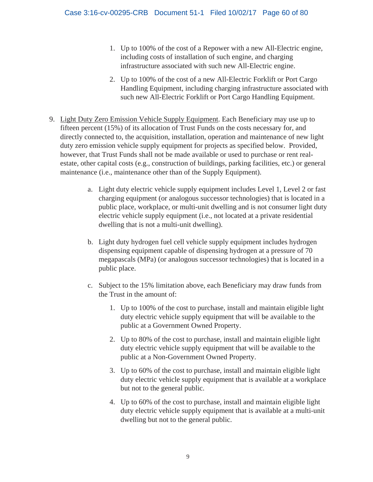- 1. Up to 100% of the cost of a Repower with a new All-Electric engine, including costs of installation of such engine, and charging infrastructure associated with such new All-Electric engine.
- 2. Up to 100% of the cost of a new All-Electric Forklift or Port Cargo Handling Equipment, including charging infrastructure associated with such new All-Electric Forklift or Port Cargo Handling Equipment.
- 9. Light Duty Zero Emission Vehicle Supply Equipment. Each Beneficiary may use up to fifteen percent (15%) of its allocation of Trust Funds on the costs necessary for, and directly connected to, the acquisition, installation, operation and maintenance of new light duty zero emission vehicle supply equipment for projects as specified below. Provided, however, that Trust Funds shall not be made available or used to purchase or rent realestate, other capital costs (e.g., construction of buildings, parking facilities, etc.) or general maintenance (i.e., maintenance other than of the Supply Equipment).
	- a. Light duty electric vehicle supply equipment includes Level 1, Level 2 or fast charging equipment (or analogous successor technologies) that is located in a public place, workplace, or multi-unit dwelling and is not consumer light duty electric vehicle supply equipment (i.e., not located at a private residential dwelling that is not a multi-unit dwelling).
	- b. Light duty hydrogen fuel cell vehicle supply equipment includes hydrogen dispensing equipment capable of dispensing hydrogen at a pressure of 70 megapascals (MPa) (or analogous successor technologies) that is located in a public place.
	- c. Subject to the 15% limitation above, each Beneficiary may draw funds from the Trust in the amount of:
		- 1. Up to 100% of the cost to purchase, install and maintain eligible light duty electric vehicle supply equipment that will be available to the public at a Government Owned Property.
		- 2. Up to 80% of the cost to purchase, install and maintain eligible light duty electric vehicle supply equipment that will be available to the public at a Non-Government Owned Property.
		- 3. Up to 60% of the cost to purchase, install and maintain eligible light duty electric vehicle supply equipment that is available at a workplace but not to the general public.
		- 4. Up to 60% of the cost to purchase, install and maintain eligible light duty electric vehicle supply equipment that is available at a multi-unit dwelling but not to the general public.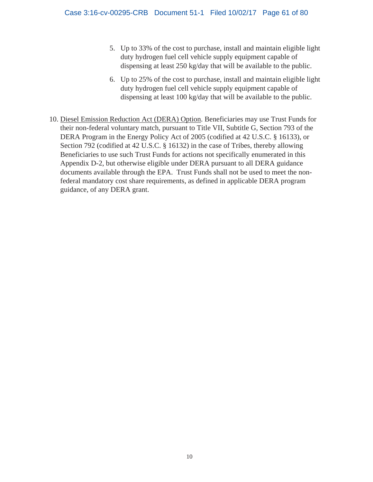- 5. Up to 33% of the cost to purchase, install and maintain eligible light duty hydrogen fuel cell vehicle supply equipment capable of dispensing at least 250 kg/day that will be available to the public.
- 6. Up to 25% of the cost to purchase, install and maintain eligible light duty hydrogen fuel cell vehicle supply equipment capable of dispensing at least 100 kg/day that will be available to the public.
- 10. Diesel Emission Reduction Act (DERA) Option. Beneficiaries may use Trust Funds for their non-federal voluntary match, pursuant to Title VII, Subtitle G, Section 793 of the DERA Program in the Energy Policy Act of 2005 (codified at 42 U.S.C. § 16133), or Section 792 (codified at 42 U.S.C. § 16132) in the case of Tribes, thereby allowing Beneficiaries to use such Trust Funds for actions not specifically enumerated in this Appendix D-2, but otherwise eligible under DERA pursuant to all DERA guidance documents available through the EPA. Trust Funds shall not be used to meet the nonfederal mandatory cost share requirements, as defined in applicable DERA program guidance, of any DERA grant.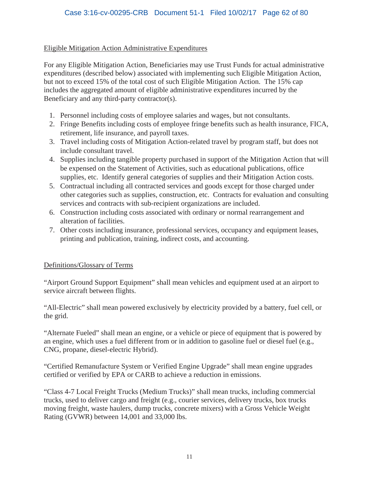## Eligible Mitigation Action Administrative Expenditures

For any Eligible Mitigation Action, Beneficiaries may use Trust Funds for actual administrative expenditures (described below) associated with implementing such Eligible Mitigation Action, but not to exceed 15% of the total cost of such Eligible Mitigation Action. The 15% cap includes the aggregated amount of eligible administrative expenditures incurred by the Beneficiary and any third-party contractor(s).

- 1. Personnel including costs of employee salaries and wages, but not consultants.
- 2. Fringe Benefits including costs of employee fringe benefits such as health insurance, FICA, retirement, life insurance, and payroll taxes.
- 3. Travel including costs of Mitigation Action-related travel by program staff, but does not include consultant travel.
- 4. Supplies including tangible property purchased in support of the Mitigation Action that will be expensed on the Statement of Activities, such as educational publications, office supplies, etc. Identify general categories of supplies and their Mitigation Action costs.
- 5. Contractual including all contracted services and goods except for those charged under other categories such as supplies, construction, etc. Contracts for evaluation and consulting services and contracts with sub-recipient organizations are included.
- 6. Construction including costs associated with ordinary or normal rearrangement and alteration of facilities.
- 7. Other costs including insurance, professional services, occupancy and equipment leases, printing and publication, training, indirect costs, and accounting.

## Definitions/Glossary of Terms

"Airport Ground Support Equipment" shall mean vehicles and equipment used at an airport to service aircraft between flights.

"All-Electric" shall mean powered exclusively by electricity provided by a battery, fuel cell, or the grid.

"Alternate Fueled" shall mean an engine, or a vehicle or piece of equipment that is powered by an engine, which uses a fuel different from or in addition to gasoline fuel or diesel fuel (e.g., CNG, propane, diesel-electric Hybrid).

"Certified Remanufacture System or Verified Engine Upgrade" shall mean engine upgrades certified or verified by EPA or CARB to achieve a reduction in emissions.

"Class 4-7 Local Freight Trucks (Medium Trucks)" shall mean trucks, including commercial trucks, used to deliver cargo and freight (e.g., courier services, delivery trucks, box trucks moving freight, waste haulers, dump trucks, concrete mixers) with a Gross Vehicle Weight Rating (GVWR) between 14,001 and 33,000 lbs.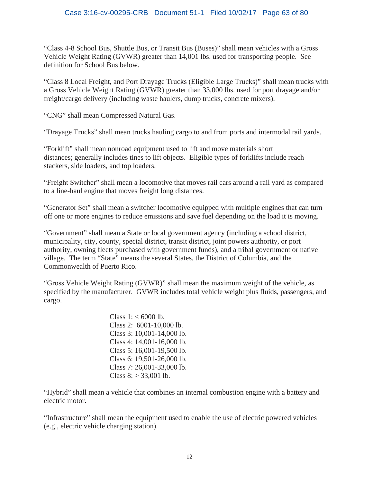"Class 4-8 School Bus, Shuttle Bus, or Transit Bus (Buses)" shall mean vehicles with a Gross Vehicle Weight Rating (GVWR) greater than 14,001 lbs. used for transporting people. See definition for School Bus below.

"Class 8 Local Freight, and Port Drayage Trucks (Eligible Large Trucks)" shall mean trucks with a Gross Vehicle Weight Rating (GVWR) greater than 33,000 lbs. used for port drayage and/or freight/cargo delivery (including waste haulers, dump trucks, concrete mixers).

"CNG" shall mean Compressed Natural Gas.

"Drayage Trucks" shall mean trucks hauling cargo to and from ports and intermodal rail yards.

"Forklift" shall mean nonroad equipment used to lift and move materials short distances; generally includes tines to lift objects. Eligible types of forklifts include reach stackers, side loaders, and top loaders.

"Freight Switcher" shall mean a locomotive that moves rail cars around a rail yard as compared to a line-haul engine that moves freight long distances.

"Generator Set" shall mean a switcher locomotive equipped with multiple engines that can turn off one or more engines to reduce emissions and save fuel depending on the load it is moving.

"Government" shall mean a State or local government agency (including a school district, municipality, city, county, special district, transit district, joint powers authority, or port authority, owning fleets purchased with government funds), and a tribal government or native village. The term "State" means the several States, the District of Columbia, and the Commonwealth of Puerto Rico.

"Gross Vehicle Weight Rating (GVWR)" shall mean the maximum weight of the vehicle, as specified by the manufacturer. GVWR includes total vehicle weight plus fluids, passengers, and cargo.

> Class  $1: < 6000$  lb. Class 2: 6001-10,000 lb. Class 3: 10,001-14,000 lb. Class 4: 14,001-16,000 lb. Class 5: 16,001-19,500 lb. Class 6: 19,501-26,000 lb. Class 7: 26,001-33,000 lb. Class  $8: > 33,001$  lb.

"Hybrid" shall mean a vehicle that combines an internal combustion engine with a battery and electric motor.

"Infrastructure" shall mean the equipment used to enable the use of electric powered vehicles (e.g., electric vehicle charging station).